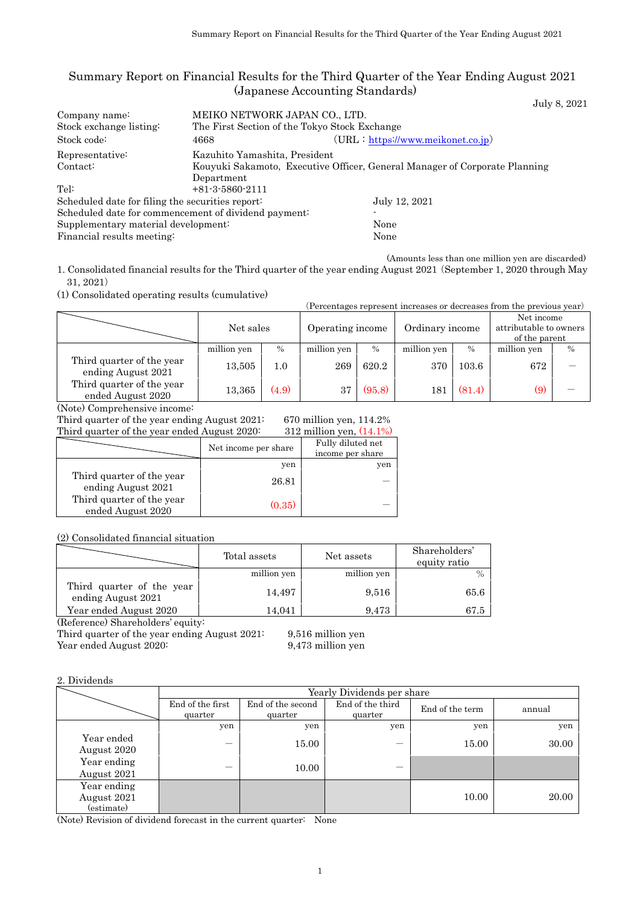## Summary Report on Financial Results for the Third Quarter of the Year Ending August 2021 (Japanese Accounting Standards)

| Summary Report on Financial Results for the Third Quarter of the Year Ending August 2021                                                                                              |                                                                                        |              | (Japanese Accounting Standards) |       |                                        |                                                       |                                      |                 |                                                                            |              |
|---------------------------------------------------------------------------------------------------------------------------------------------------------------------------------------|----------------------------------------------------------------------------------------|--------------|---------------------------------|-------|----------------------------------------|-------------------------------------------------------|--------------------------------------|-----------------|----------------------------------------------------------------------------|--------------|
| Company name:<br>Stock exchange listing:<br>Stock code:                                                                                                                               | MEIKO NETWORK JAPAN CO., LTD.<br>The First Section of the Tokyo Stock Exchange<br>4668 |              |                                 |       |                                        |                                                       | $(URL: https://www.meikonet.co.jp})$ |                 |                                                                            | July 8, 2021 |
| Representative:<br>Contact:                                                                                                                                                           | Kazuhito Yamashita, President<br>Department                                            |              |                                 |       |                                        |                                                       |                                      |                 | Kouyuki Sakamoto, Executive Officer, General Manager of Corporate Planning |              |
| Tel:<br>Scheduled date for filing the securities report:<br>Scheduled date for commencement of dividend payment:<br>Supplementary material development:<br>Financial results meeting: | $+81-3-5860-2111$                                                                      |              |                                 |       |                                        | None<br>None                                          | July 12, 2021                        |                 |                                                                            |              |
| 1. Consolidated financial results for the Third quarter of the year ending August 2021 (September 1, 2020 through May<br>31, 2021)                                                    |                                                                                        |              |                                 |       |                                        |                                                       |                                      |                 | (Amounts less than one million yen are discarded)                          |              |
| (1) Consolidated operating results (cumulative)                                                                                                                                       |                                                                                        |              |                                 |       |                                        |                                                       |                                      |                 | (Percentages represent increases or decreases from the previous year)      |              |
|                                                                                                                                                                                       |                                                                                        | Net sales    |                                 |       | Operating income                       |                                                       | Ordinary income                      |                 | Net income<br>attributable to owners<br>of the parent                      |              |
| Third quarter of the year                                                                                                                                                             | million yen                                                                            |              | $\%$                            |       | million yen                            | $\%$                                                  | million yen                          | $\%$            | million yen                                                                | $\%$         |
| ending August 2021                                                                                                                                                                    |                                                                                        | 13,505       | 1.0                             |       | 269                                    | 620.2                                                 | 370                                  | 103.6           | 672                                                                        |              |
| Third quarter of the year<br>ended August 2020                                                                                                                                        |                                                                                        | 13,365       | (4.9)                           |       | $37\,$                                 | (95.8)                                                | 181                                  | (81.4)          | (9)                                                                        |              |
| (Note) Comprehensive income:<br>Third quarter of the year ending August 2021:<br>Third quarter of the year ended August 2020:                                                         |                                                                                        |              |                                 |       |                                        | 670 million yen, 114.2%<br>312 million yen, $(14.1%)$ |                                      |                 |                                                                            |              |
|                                                                                                                                                                                       |                                                                                        |              | Net income per share            |       | Fully diluted net<br>income per share  |                                                       |                                      |                 |                                                                            |              |
| Third quarter of the year                                                                                                                                                             |                                                                                        |              | yen                             |       |                                        | yen                                                   |                                      |                 |                                                                            |              |
| ending August 2021                                                                                                                                                                    |                                                                                        |              | 26.81                           |       |                                        |                                                       |                                      |                 |                                                                            |              |
| Third quarter of the year<br>ended August 2020                                                                                                                                        |                                                                                        |              | (0.35)                          |       |                                        |                                                       |                                      |                 |                                                                            |              |
| (2) Consolidated financial situation                                                                                                                                                  |                                                                                        |              |                                 |       |                                        |                                                       |                                      |                 |                                                                            |              |
|                                                                                                                                                                                       |                                                                                        | Total assets |                                 |       | Net assets                             |                                                       | Shareholders'<br>equity ratio        |                 |                                                                            |              |
|                                                                                                                                                                                       |                                                                                        |              | million yen                     |       |                                        | million yen                                           |                                      | $\frac{0}{0}$   |                                                                            |              |
| Third quarter of the year<br>ending August 2021                                                                                                                                       |                                                                                        |              | 14,497                          |       |                                        | 9,516                                                 |                                      | 65.6            |                                                                            |              |
| Year ended August 2020<br>(Reference) Shareholders' equity:                                                                                                                           |                                                                                        |              | 14,041                          |       |                                        | 9,473                                                 |                                      | 67.5            |                                                                            |              |
| Third quarter of the year ending August 2021:<br>Year ended August 2020:                                                                                                              |                                                                                        |              |                                 |       | 9,516 million yen<br>9,473 million yen |                                                       |                                      |                 |                                                                            |              |
| 2. Dividends                                                                                                                                                                          |                                                                                        |              |                                 |       |                                        |                                                       |                                      |                 |                                                                            |              |
|                                                                                                                                                                                       | End of the first                                                                       |              | End of the second               |       |                                        | Yearly Dividends per share<br>End of the third        |                                      |                 |                                                                            |              |
|                                                                                                                                                                                       | quarter                                                                                |              | quarter                         |       |                                        | quarter                                               |                                      | End of the term | annual                                                                     |              |
| Year ended                                                                                                                                                                            | yen                                                                                    |              |                                 | yen   |                                        |                                                       | yen                                  | yen             |                                                                            | yen          |
| August 2020                                                                                                                                                                           |                                                                                        |              |                                 | 15.00 |                                        |                                                       |                                      | 15.00           |                                                                            | 30.00        |
| Year ending<br>August 2021                                                                                                                                                            |                                                                                        |              |                                 | 10.00 |                                        |                                                       |                                      |                 |                                                                            |              |
| Year ending<br>August 2021<br>(estimate)                                                                                                                                              |                                                                                        |              |                                 |       |                                        |                                                       |                                      | 10.00           |                                                                            | 20.00        |
| (Note) Revision of dividend forecast in the current quarter: None                                                                                                                     |                                                                                        |              |                                 |       |                                        |                                                       |                                      |                 |                                                                            |              |

|                                                 | Net sales   |       | Operating income | Ordinary income |             |        |             | Net income<br>attributable to owners<br>of the parent |
|-------------------------------------------------|-------------|-------|------------------|-----------------|-------------|--------|-------------|-------------------------------------------------------|
|                                                 | million yen | $\%$  | million yen      | $\%$            | million yen | $\%$   | million yen | $\%$                                                  |
| Third quarter of the year<br>ending August 2021 | 13,505      | 1.0   | 269              | 620.2           | 370         | 103.6  | 672         |                                                       |
| Third quarter of the year<br>ended August 2020  | 13,365      | (4.9) | 37               | (95.8)          | 181         | (81.4) | (9)         |                                                       |

| Third quarter of the year ended August 2020.    |                      | 312 million ven, (14.1%)              |
|-------------------------------------------------|----------------------|---------------------------------------|
|                                                 | Net income per share | Fully diluted net<br>income per share |
|                                                 | yen                  | yen                                   |
| Third quarter of the year<br>ending August 2021 | 26.81                |                                       |
| Third quarter of the year<br>ended August 2020  | (0.35)               |                                       |

|                                                 | Total assets | Net assets  | Shareholders'<br>equity ratio |
|-------------------------------------------------|--------------|-------------|-------------------------------|
|                                                 | million yen  | million yen |                               |
| Third quarter of the year<br>ending August 2021 | 14.497       | 9,516       | 65.6                          |
| Year ended August 2020                          | 14.041       | 9.473       | 67.5                          |
| $\sqrt{m}$<br>$\sim$                            |              |             |                               |

|                                          | Yearly Dividends per share  |                              |                             |                 |        |  |
|------------------------------------------|-----------------------------|------------------------------|-----------------------------|-----------------|--------|--|
|                                          | End of the first<br>quarter | End of the second<br>quarter | End of the third<br>quarter | End of the term | annual |  |
|                                          | yen                         | yen                          | yen                         | yen             | yen    |  |
| Year ended<br>August 2020                |                             | 15.00                        |                             | 15.00           | 30.00  |  |
| Year ending<br>August 2021               | –                           | 10.00                        |                             |                 |        |  |
| Year ending<br>August 2021<br>(estimate) |                             |                              |                             | 10.00           | 20.00  |  |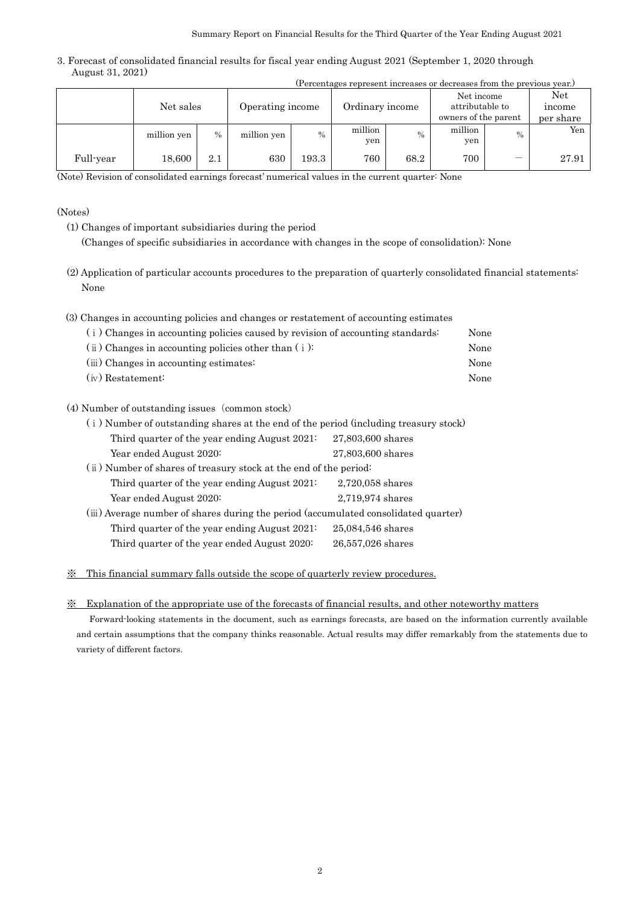| The contrages represent increases or decreases from the previous year. |             |      |                  |               |                 |               |                                                       |               |                            |
|------------------------------------------------------------------------|-------------|------|------------------|---------------|-----------------|---------------|-------------------------------------------------------|---------------|----------------------------|
|                                                                        | Net sales   |      | Operating income |               | Ordinary income |               | Net income<br>attributable to<br>owners of the parent |               | Net<br>income<br>per share |
|                                                                        | million yen | $\%$ | million yen      | $\frac{0}{0}$ | million<br>yen  | $\frac{0}{0}$ | million<br>yen                                        | $\frac{0}{0}$ | Yen                        |
| Full-year                                                              | 18,600      | 2.1  | 630              | 193.3         | 760             | 68.2          | 700                                                   | —             | 27.91                      |

#### (Notes)

- (1) Changes of important subsidiaries during the period (Changes of specific subsidiaries in accordance with changes in the scope of consolidation): None
- (2) Application of particular accounts procedures to the preparation of quarterly consolidated financial statements: None

| (3) Changes in accounting policies and changes or restatement of accounting estimates |      |
|---------------------------------------------------------------------------------------|------|
| (i) Changes in accounting policies caused by revision of accounting standards:        | None |
| $(i)$ Changes in accounting policies other than $(i)$ :                               | None |
| (iii) Changes in accounting estimates:                                                | None |
| $(iv)$ Restatement:                                                                   | None |

### (4) Number of outstanding issues (common stock)

|                               |                                                                                                                                                                                                                                                                                    |      | Summary Report on Financial Results for the Third Quarter of the Year Ending August 2021 |       |                   |      |                                                                      |      |                       |
|-------------------------------|------------------------------------------------------------------------------------------------------------------------------------------------------------------------------------------------------------------------------------------------------------------------------------|------|------------------------------------------------------------------------------------------|-------|-------------------|------|----------------------------------------------------------------------|------|-----------------------|
| August 31, 2021)              | Forecast of consolidated financial results for fiscal year ending August 2021 (September 1, 2020 through                                                                                                                                                                           |      |                                                                                          |       |                   |      |                                                                      |      |                       |
|                               |                                                                                                                                                                                                                                                                                    |      |                                                                                          |       |                   |      | (Percentages represent increases or decreases from the previous year |      |                       |
|                               | Net sales                                                                                                                                                                                                                                                                          |      | Operating income                                                                         |       | Ordinary income   |      | Net income<br>attributable to<br>owners of the parent                |      | Ne<br>inco:<br>per sl |
|                               | million yen                                                                                                                                                                                                                                                                        | $\%$ | million yen                                                                              | %     | million<br>yen    | $\%$ | million<br>yen                                                       | $\%$ |                       |
| Full-year                     | 18,600                                                                                                                                                                                                                                                                             | 2.1  | 630                                                                                      | 193.3 | 760               | 68.2 | 700                                                                  |      | $\tilde{z}$           |
|                               | ote) Revision of consolidated earnings forecast' numerical values in the current quarter: None                                                                                                                                                                                     |      |                                                                                          |       |                   |      |                                                                      |      |                       |
| (otes)                        | (1) Changes of important subsidiaries during the period<br>(Changes of specific subsidiaries in accordance with changes in the scope of consolidation). None<br>(2) Application of particular accounts procedures to the preparation of quarterly consolidated financial statement |      |                                                                                          |       |                   |      |                                                                      |      |                       |
| None                          |                                                                                                                                                                                                                                                                                    |      |                                                                                          |       |                   |      |                                                                      |      |                       |
|                               | (3) Changes in accounting policies and changes or restatement of accounting estimates                                                                                                                                                                                              |      |                                                                                          |       |                   |      |                                                                      |      |                       |
|                               | (i) Changes in accounting policies caused by revision of accounting standards:                                                                                                                                                                                                     |      |                                                                                          |       |                   |      | None                                                                 |      |                       |
|                               | $(i)$ Changes in accounting policies other than $(i)$ :                                                                                                                                                                                                                            |      |                                                                                          |       |                   |      | None                                                                 |      |                       |
|                               | (iii) Changes in accounting estimates:                                                                                                                                                                                                                                             |      |                                                                                          |       |                   |      | None                                                                 |      |                       |
| $(iv)$ Restatement:           |                                                                                                                                                                                                                                                                                    |      |                                                                                          |       |                   |      | None                                                                 |      |                       |
|                               | (4) Number of outstanding issues (common stock)                                                                                                                                                                                                                                    |      |                                                                                          |       |                   |      |                                                                      |      |                       |
|                               | (i) Number of outstanding shares at the end of the period (including treasury stock)                                                                                                                                                                                               |      |                                                                                          |       |                   |      |                                                                      |      |                       |
|                               | Third quarter of the year ending August 2021:                                                                                                                                                                                                                                      |      |                                                                                          |       | 27,803,600 shares |      |                                                                      |      |                       |
|                               | Year ended August 2020:                                                                                                                                                                                                                                                            |      |                                                                                          |       | 27,803,600 shares |      |                                                                      |      |                       |
|                               | (ii) Number of shares of treasury stock at the end of the period:                                                                                                                                                                                                                  |      |                                                                                          |       |                   |      |                                                                      |      |                       |
|                               | Third quarter of the year ending August 2021:                                                                                                                                                                                                                                      |      |                                                                                          |       | 2,720,058 shares  |      |                                                                      |      |                       |
|                               | Year ended August 2020:                                                                                                                                                                                                                                                            |      |                                                                                          |       | 2,719,974 shares  |      |                                                                      |      |                       |
|                               | (iii) Average number of shares during the period (accumulated consolidated quarter)                                                                                                                                                                                                |      |                                                                                          |       |                   |      |                                                                      |      |                       |
|                               | Third quarter of the year ending August 2021:                                                                                                                                                                                                                                      |      |                                                                                          |       | 25,084,546 shares |      |                                                                      |      |                       |
|                               | Third quarter of the year ended August 2020:                                                                                                                                                                                                                                       |      |                                                                                          |       | 26,557,026 shares |      |                                                                      |      |                       |
| $\times$                      | This financial summary falls outside the scope of quarterly review procedures.                                                                                                                                                                                                     |      |                                                                                          |       |                   |      |                                                                      |      |                       |
|                               |                                                                                                                                                                                                                                                                                    |      |                                                                                          |       |                   |      |                                                                      |      |                       |
| ፠                             | Explanation of the appropriate use of the forecasts of financial results, and other noteworthy matters                                                                                                                                                                             |      |                                                                                          |       |                   |      |                                                                      |      |                       |
|                               | Forward-looking statements in the document, such as earnings forecasts, are based on the information currently ava                                                                                                                                                                 |      |                                                                                          |       |                   |      |                                                                      |      |                       |
| variety of different factors. | and certain assumptions that the company thinks reasonable. Actual results may differ remarkably from the statements                                                                                                                                                               |      |                                                                                          |       |                   |      |                                                                      |      |                       |
|                               |                                                                                                                                                                                                                                                                                    |      |                                                                                          |       |                   |      |                                                                      |      |                       |
|                               |                                                                                                                                                                                                                                                                                    |      |                                                                                          |       |                   |      |                                                                      |      |                       |
|                               |                                                                                                                                                                                                                                                                                    |      |                                                                                          |       |                   |      |                                                                      |      |                       |
|                               |                                                                                                                                                                                                                                                                                    |      |                                                                                          |       |                   |      |                                                                      |      |                       |
|                               |                                                                                                                                                                                                                                                                                    |      |                                                                                          |       |                   |      |                                                                      |      |                       |
|                               |                                                                                                                                                                                                                                                                                    |      |                                                                                          |       |                   |      |                                                                      |      |                       |
|                               |                                                                                                                                                                                                                                                                                    |      |                                                                                          |       |                   |      |                                                                      |      |                       |
|                               |                                                                                                                                                                                                                                                                                    |      |                                                                                          |       |                   |      |                                                                      |      |                       |
|                               |                                                                                                                                                                                                                                                                                    |      |                                                                                          |       |                   |      |                                                                      |      |                       |
|                               |                                                                                                                                                                                                                                                                                    |      |                                                                                          |       |                   |      |                                                                      |      |                       |
|                               |                                                                                                                                                                                                                                                                                    |      |                                                                                          |       |                   |      |                                                                      |      |                       |
|                               |                                                                                                                                                                                                                                                                                    |      |                                                                                          |       |                   |      |                                                                      |      |                       |
|                               |                                                                                                                                                                                                                                                                                    |      |                                                                                          |       |                   |      |                                                                      |      |                       |
|                               |                                                                                                                                                                                                                                                                                    |      |                                                                                          | 2     |                   |      |                                                                      |      |                       |

#### ※ Explanation of the appropriate use of the forecasts of financial results, and other noteworthy matters

Forward-looking statements in the document, such as earnings forecasts, are based on the information currently available and certain assumptions that the company thinks reasonable. Actual results may differ remarkably from the statements due to variety of different factors.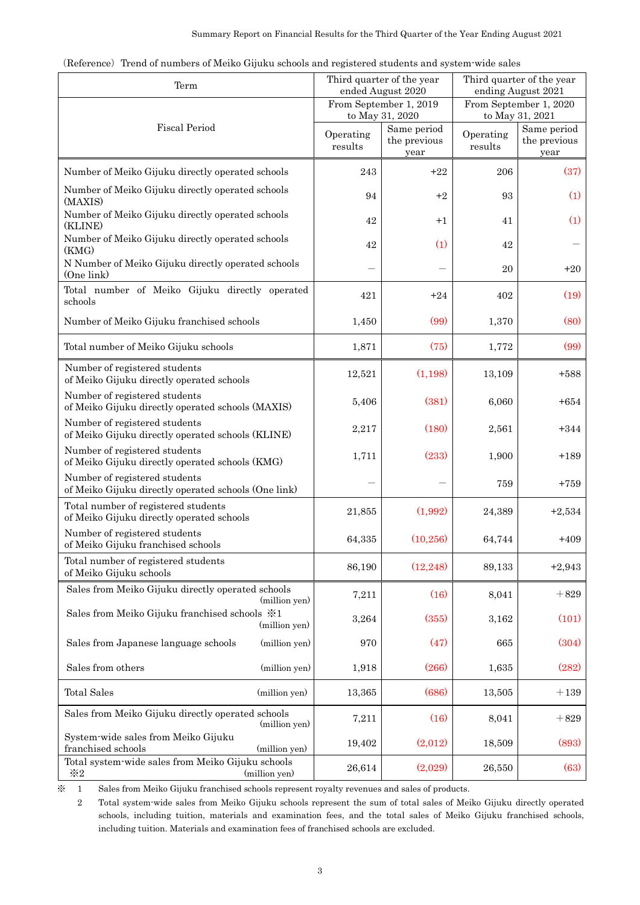|  |  |  | (Reference) Trend of numbers of Meiko Gijuku schools and registered students and system wide sales |
|--|--|--|----------------------------------------------------------------------------------------------------|
|  |  |  |                                                                                                    |

| Summary Report on Financial Results for the Third Quarter of the Year Ending August 2021                                                                                                                                                                                                                                             |                      |                                                        |                      |                                                        |
|--------------------------------------------------------------------------------------------------------------------------------------------------------------------------------------------------------------------------------------------------------------------------------------------------------------------------------------|----------------------|--------------------------------------------------------|----------------------|--------------------------------------------------------|
| (Reference) Trend of numbers of Meiko Gijuku schools and registered students and system wide sales<br>Term                                                                                                                                                                                                                           |                      | Third quarter of the year                              |                      | Third quarter of the year                              |
|                                                                                                                                                                                                                                                                                                                                      |                      | ended August 2020<br>From September 1, 2019            |                      | ending August 2021<br>From September 1, 2020           |
| <b>Fiscal Period</b>                                                                                                                                                                                                                                                                                                                 | Operating<br>results | to May 31, 2020<br>Same period<br>the previous<br>year | Operating<br>results | to May 31, 2021<br>Same period<br>the previous<br>year |
| Number of Meiko Gijuku directly operated schools                                                                                                                                                                                                                                                                                     | 243                  | $+22$                                                  | 206                  | (37)                                                   |
| Number of Meiko Gijuku directly operated schools<br>(MAXIS)                                                                                                                                                                                                                                                                          | 94                   | $+2$                                                   | 93                   | (1)                                                    |
| Number of Meiko Gijuku directly operated schools<br>(KLINE)                                                                                                                                                                                                                                                                          | 42                   | $+1$                                                   | 41                   | (1)                                                    |
| Number of Meiko Gijuku directly operated schools<br>(KMG)                                                                                                                                                                                                                                                                            | 42                   | (1)                                                    | 42                   |                                                        |
| N Number of Meiko Gijuku directly operated schools<br>(One link)                                                                                                                                                                                                                                                                     |                      |                                                        | 20                   | $+20$                                                  |
| Total number of Meiko Gijuku directly operated<br>schools                                                                                                                                                                                                                                                                            | 421                  | $+24$                                                  | 402                  | (19)                                                   |
| Number of Meiko Gijuku franchised schools                                                                                                                                                                                                                                                                                            | 1,450                | (99)                                                   | 1,370                | (80)                                                   |
| Total number of Meiko Gijuku schools                                                                                                                                                                                                                                                                                                 | 1,871                | (75)                                                   | 1,772                | (99)                                                   |
| Number of registered students<br>of Meiko Gijuku directly operated schools                                                                                                                                                                                                                                                           | 12,521               | (1,198)                                                | 13,109               | $+588$                                                 |
| Number of registered students<br>of Meiko Gijuku directly operated schools (MAXIS)                                                                                                                                                                                                                                                   | 5,406                | (381)                                                  | 6,060                | $+654$                                                 |
| Number of registered students<br>of Meiko Gijuku directly operated schools (KLINE)                                                                                                                                                                                                                                                   | 2,217                | (180)                                                  | 2,561                | $+344$                                                 |
| Number of registered students<br>of Meiko Gijuku directly operated schools (KMG)                                                                                                                                                                                                                                                     | 1,711                | (233)                                                  | 1,900                | $+189$                                                 |
| Number of registered students<br>of Meiko Gijuku directly operated schools (One link)                                                                                                                                                                                                                                                |                      |                                                        | 759                  | $+759$                                                 |
| Total number of registered students<br>of Meiko Gijuku directly operated schools                                                                                                                                                                                                                                                     | $21,\!855$           | (1,992)                                                | $24,\!389$           | $+2,534$                                               |
| Number of registered students<br>of Meiko Gijuku franchised schools                                                                                                                                                                                                                                                                  | 64,335               | (10, 256)                                              | 64,744               | $+409$                                                 |
| Total number of registered students<br>of Meiko Gijuku schools                                                                                                                                                                                                                                                                       | 86,190               | (12, 248)                                              | 89,133               | $+2,943$                                               |
| Sales from Meiko Gijuku directly operated schools<br>(million yen)                                                                                                                                                                                                                                                                   | 7,211                | (16)                                                   | 8,041                | $+829$                                                 |
| Sales from Meiko Gijuku franchised schools $\frac{1}{2}$ 1<br>(million yen)                                                                                                                                                                                                                                                          | 3,264                | (355)                                                  | 3,162                | (101)                                                  |
| Sales from Japanese language schools<br>(million yen)                                                                                                                                                                                                                                                                                | 970                  | (47)                                                   | 665                  | (304)                                                  |
| Sales from others<br>(million yen)                                                                                                                                                                                                                                                                                                   | 1,918                | (266)                                                  | 1,635                | (282)                                                  |
| <b>Total Sales</b><br>(million yen)                                                                                                                                                                                                                                                                                                  | 13,365               | (686)                                                  | 13,505               | $+139$                                                 |
| Sales from Meiko Gijuku directly operated schools<br>(million yen)                                                                                                                                                                                                                                                                   | 7,211                | (16)                                                   | 8,041                | $+829$                                                 |
| System-wide sales from Meiko Gijuku<br>franchised schools<br>(million yen)                                                                                                                                                                                                                                                           | 19,402               | (2,012)                                                | 18,509               | (893)                                                  |
| Total system-wide sales from Meiko Gijuku schools<br>$\divideontimes 2$<br>(million yen)                                                                                                                                                                                                                                             | 26,614               | (2,029)                                                | 26,550               | (63)                                                   |
| ⋇<br>Sales from Meiko Gijuku franchised schools represent royalty revenues and sales of products.<br>1<br>$\overline{2}$                                                                                                                                                                                                             |                      |                                                        |                      |                                                        |
| Total system wide sales from Meiko Gijuku schools represent the sum of total sales of Meiko Gijuku directly operated<br>schools, including tuition, materials and examination fees, and the total sales of Meiko Gijuku franchised schools,<br>including tuition. Materials and examination fees of franchised schools are excluded. |                      |                                                        |                      |                                                        |
|                                                                                                                                                                                                                                                                                                                                      | 3                    |                                                        |                      |                                                        |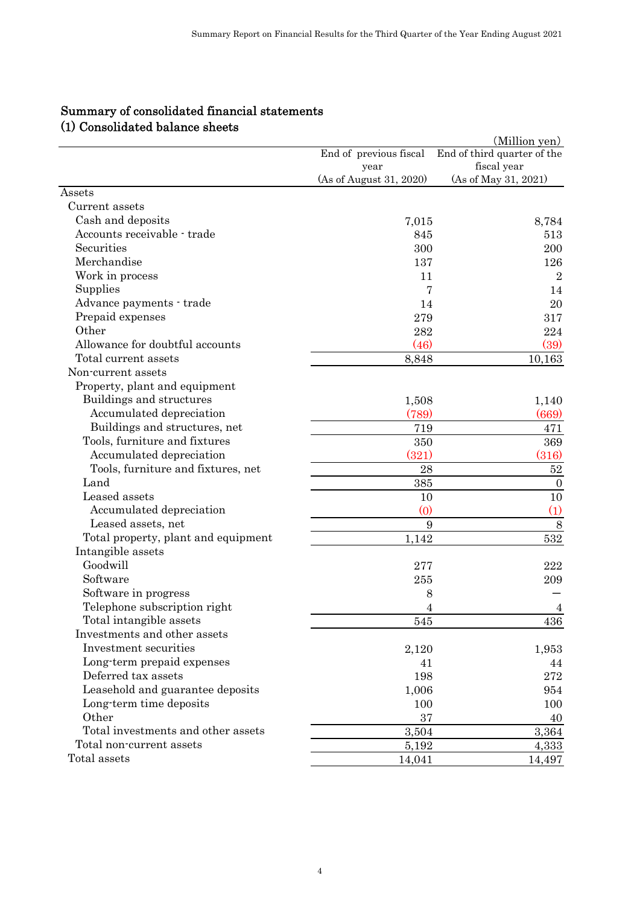| (1) Consolidated balance sheets                         |                                | (Million yen)                              |
|---------------------------------------------------------|--------------------------------|--------------------------------------------|
|                                                         | End of previous fiscal<br>year | End of third quarter of the<br>fiscal year |
|                                                         | (As of August 31, 2020)        | (As of May 31, 2021)                       |
| Assets                                                  |                                |                                            |
| Current assets                                          |                                |                                            |
| Cash and deposits                                       | 7,015                          | 8,784                                      |
| Accounts receivable - trade                             | 845                            | 513                                        |
| Securities                                              | 300                            | 200                                        |
| Merchandise                                             | 137                            | 126                                        |
| Work in process                                         | 11                             | $\boldsymbol{2}$                           |
| Supplies                                                | 7                              | 14                                         |
| Advance payments · trade                                | 14                             | 20                                         |
| Prepaid expenses                                        | 279                            | 317                                        |
| Other                                                   | 282                            | 224                                        |
| Allowance for doubtful accounts<br>Total current assets | (46)                           | (39)                                       |
| Non-current assets                                      | 8,848                          | 10,163                                     |
| Property, plant and equipment                           |                                |                                            |
| Buildings and structures                                | 1,508                          | 1,140                                      |
| Accumulated depreciation                                | (789)                          | (669)                                      |
| Buildings and structures, net                           | 719                            | 471                                        |
| Tools, furniture and fixtures                           | 350                            | 369                                        |
| Accumulated depreciation                                | (321)                          | (316)                                      |
| Tools, furniture and fixtures, net                      | 28                             | $52\,$                                     |
| Land                                                    | 385                            | $\boldsymbol{0}$                           |
| Leased assets                                           | 10                             | 10                                         |
| Accumulated depreciation                                | $\omega$                       | (1)                                        |
| Leased assets, net                                      | 9                              | $8\,$                                      |
| Total property, plant and equipment                     | 1,142                          | 532                                        |
| Intangible assets                                       |                                |                                            |
| Goodwill                                                | 277                            | 222                                        |
| Software                                                | 255                            | 209                                        |
| Software in progress                                    | 8                              |                                            |
| Telephone subscription right                            | 4                              | 4                                          |
| Total intangible assets                                 | 545                            | 436                                        |
| Investments and other assets                            |                                |                                            |
| Investment securities                                   | 2,120                          | 1,953                                      |
| Long-term prepaid expenses                              | 41                             | 44                                         |
| Deferred tax assets                                     | 198                            | 272                                        |
| Leasehold and guarantee deposits                        | 1,006                          | 954                                        |
| Long-term time deposits                                 | 100                            | 100                                        |
| Other                                                   | 37                             | 40                                         |
| Total investments and other assets                      | 3,504                          | 3,364                                      |
| Total non-current assets                                | 5,192                          | 4,333                                      |
| Total assets                                            | 14,041                         | 14,497                                     |

## Summary of consolidated financial statements (1) Consolidated balance sheets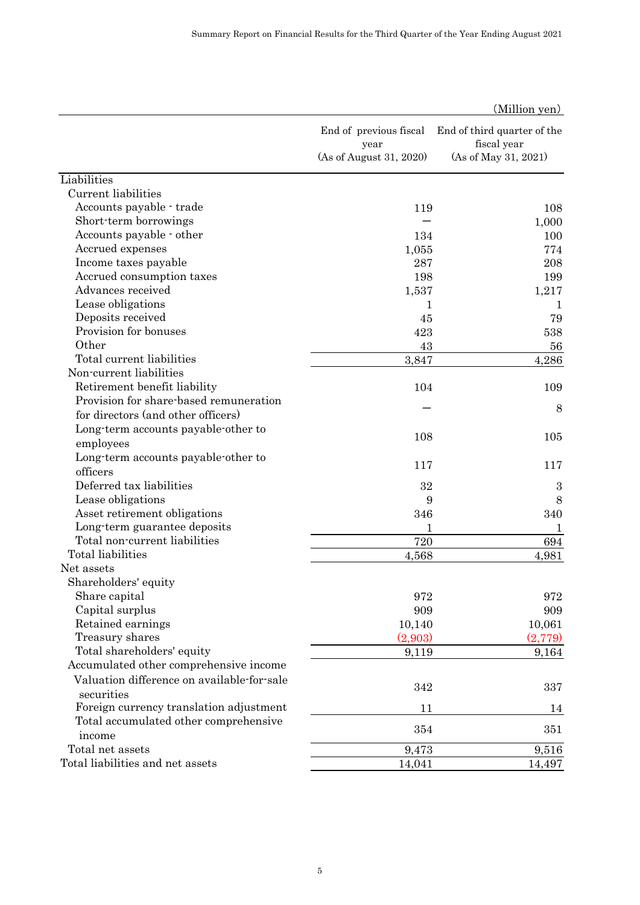|                                                                        |                                | (Million yen)                              |
|------------------------------------------------------------------------|--------------------------------|--------------------------------------------|
|                                                                        | End of previous fiscal<br>year | End of third quarter of the<br>fiscal year |
|                                                                        | (As of August 31, 2020)        | (As of May 31, 2021)                       |
| Liabilities                                                            |                                |                                            |
| Current liabilities                                                    |                                |                                            |
| Accounts payable · trade                                               | 119                            | 108                                        |
| Short-term borrowings                                                  |                                | 1,000                                      |
| Accounts payable - other                                               | 134                            | 100                                        |
| Accrued expenses                                                       | 1,055                          | 774                                        |
| Income taxes payable                                                   | 287                            | 208                                        |
| Accrued consumption taxes                                              | 198                            | 199                                        |
| Advances received                                                      | 1,537                          | 1,217                                      |
| Lease obligations                                                      | 1                              | 1                                          |
| Deposits received                                                      | 45                             | 79                                         |
| Provision for bonuses                                                  | 423                            | 538                                        |
| Other                                                                  | 43                             | 56                                         |
| Total current liabilities                                              | 3,847                          | 4,286                                      |
| Non-current liabilities                                                |                                |                                            |
| Retirement benefit liability<br>Provision for share-based remuneration | 104                            | 109                                        |
| for directors (and other officers)                                     |                                | 8                                          |
|                                                                        |                                |                                            |
| Long-term accounts payable-other to                                    | 108                            | 105                                        |
| employees                                                              |                                |                                            |
| Long-term accounts payable-other to<br>officers                        | 117                            | 117                                        |
| Deferred tax liabilities                                               |                                |                                            |
|                                                                        | 32                             | 3                                          |
| Lease obligations<br>Asset retirement obligations                      | 9                              | 8                                          |
| Long-term guarantee deposits                                           | 346<br>1                       | 340                                        |
| Total non-current liabilities                                          | 720                            | 1<br>694                                   |
| Total liabilities                                                      | 4,568                          | 4,981                                      |
| Net assets                                                             |                                |                                            |
| Shareholders' equity                                                   |                                |                                            |
| Share capital                                                          | 972                            | 972                                        |
| Capital surplus                                                        | 909                            | 909                                        |
| Retained earnings                                                      | 10,140                         | 10,061                                     |
| Treasury shares                                                        | (2,903)                        | (2,779)                                    |
| Total shareholders' equity                                             | 9,119                          | 9,164                                      |
| Accumulated other comprehensive income                                 |                                |                                            |
| Valuation difference on available-for-sale                             |                                |                                            |
| securities                                                             | 342                            | 337                                        |
| Foreign currency translation adjustment                                | 11                             | 14                                         |
| Total accumulated other comprehensive                                  |                                |                                            |
| income                                                                 | 354                            | 351                                        |
| Total net assets                                                       | 9,473                          | 9,516                                      |
| Total liabilities and net assets                                       | 14,041                         | 14,497                                     |
|                                                                        |                                |                                            |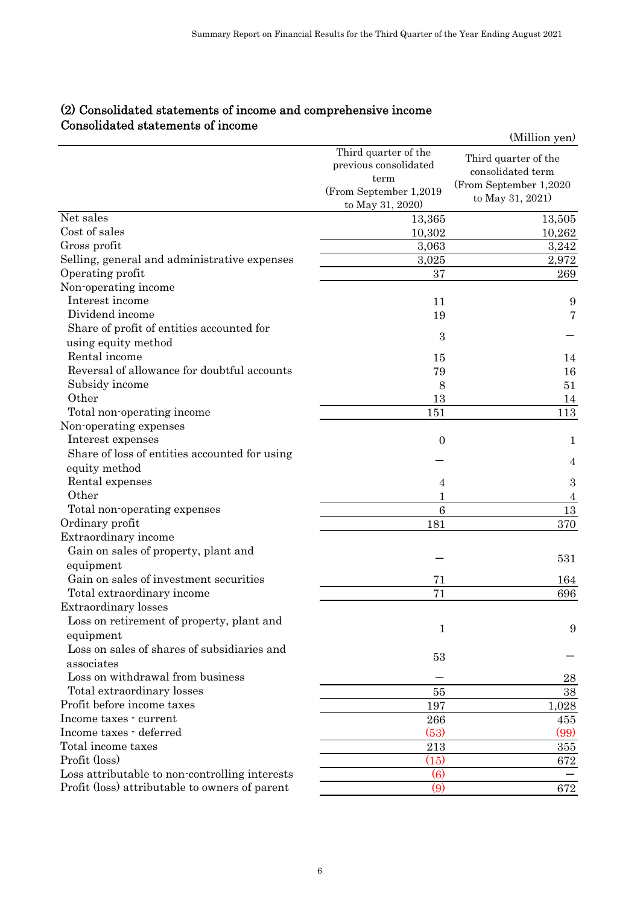| (2) Consolidated statements of income and comprehensive income<br>Consolidated statements of income |                                                                                                     | (Million yen)                                                                           |
|-----------------------------------------------------------------------------------------------------|-----------------------------------------------------------------------------------------------------|-----------------------------------------------------------------------------------------|
|                                                                                                     | Third quarter of the<br>previous consolidated<br>term<br>(From September 1,2019<br>to May 31, 2020) | Third quarter of the<br>consolidated term<br>(From September 1,2020<br>to May 31, 2021) |
| Net sales                                                                                           | 13,365                                                                                              | 13,505                                                                                  |
| Cost of sales                                                                                       | 10,302                                                                                              | 10,262                                                                                  |
| Gross profit                                                                                        | 3,063                                                                                               | 3,242                                                                                   |
| Selling, general and administrative expenses                                                        | 3,025                                                                                               | 2,972                                                                                   |
| Operating profit                                                                                    | 37                                                                                                  | 269                                                                                     |
| Non-operating income                                                                                |                                                                                                     |                                                                                         |
| Interest income                                                                                     | 11                                                                                                  | 9                                                                                       |
| Dividend income                                                                                     | 19                                                                                                  | 7                                                                                       |
| Share of profit of entities accounted for                                                           | 3                                                                                                   |                                                                                         |
| using equity method                                                                                 |                                                                                                     |                                                                                         |
| Rental income<br>Reversal of allowance for doubtful accounts                                        | 15                                                                                                  | 14                                                                                      |
| Subsidy income                                                                                      | 79                                                                                                  | 16<br>51                                                                                |
| Other                                                                                               | 8<br>13                                                                                             | 14                                                                                      |
| Total non-operating income                                                                          | 151                                                                                                 | 113                                                                                     |
| Non-operating expenses                                                                              |                                                                                                     |                                                                                         |
| Interest expenses                                                                                   | $\overline{0}$                                                                                      | 1                                                                                       |
| Share of loss of entities accounted for using                                                       |                                                                                                     |                                                                                         |
| equity method                                                                                       |                                                                                                     | 4                                                                                       |
| Rental expenses                                                                                     | 4                                                                                                   | $\boldsymbol{3}$                                                                        |
| Other                                                                                               | 1                                                                                                   | 4                                                                                       |
| Total non-operating expenses                                                                        | 6                                                                                                   | 13                                                                                      |
| Ordinary profit                                                                                     | 181                                                                                                 | 370                                                                                     |
| Extraordinary income                                                                                |                                                                                                     |                                                                                         |
| Gain on sales of property, plant and                                                                |                                                                                                     | 531                                                                                     |
| equipment                                                                                           |                                                                                                     |                                                                                         |
| Gain on sales of investment securities                                                              | 71                                                                                                  | 164                                                                                     |
| Total extraordinary income                                                                          | 71                                                                                                  | 696                                                                                     |
| <b>Extraordinary losses</b><br>Loss on retirement of property, plant and                            |                                                                                                     |                                                                                         |
| equipment                                                                                           | 1                                                                                                   | 9                                                                                       |
| Loss on sales of shares of subsidiaries and                                                         |                                                                                                     |                                                                                         |
| associates                                                                                          | 53                                                                                                  |                                                                                         |
| Loss on withdrawal from business                                                                    |                                                                                                     | 28                                                                                      |
| Total extraordinary losses                                                                          | 55                                                                                                  | 38                                                                                      |
| Profit before income taxes                                                                          | 197                                                                                                 | 1,028                                                                                   |
| Income taxes - current                                                                              | 266                                                                                                 | 455                                                                                     |
| Income taxes - deferred                                                                             | (53)                                                                                                | (99)                                                                                    |
| Total income taxes                                                                                  | 213                                                                                                 | 355                                                                                     |
| Profit (loss)                                                                                       | (15)                                                                                                | 672                                                                                     |
| Loss attributable to non-controlling interests                                                      | $\left( 6\right)$                                                                                   |                                                                                         |
| Profit (loss) attributable to owners of parent                                                      | (9)                                                                                                 | 672                                                                                     |

# (2) Consolidated statements of income and comprehensive income Consolidated statements of income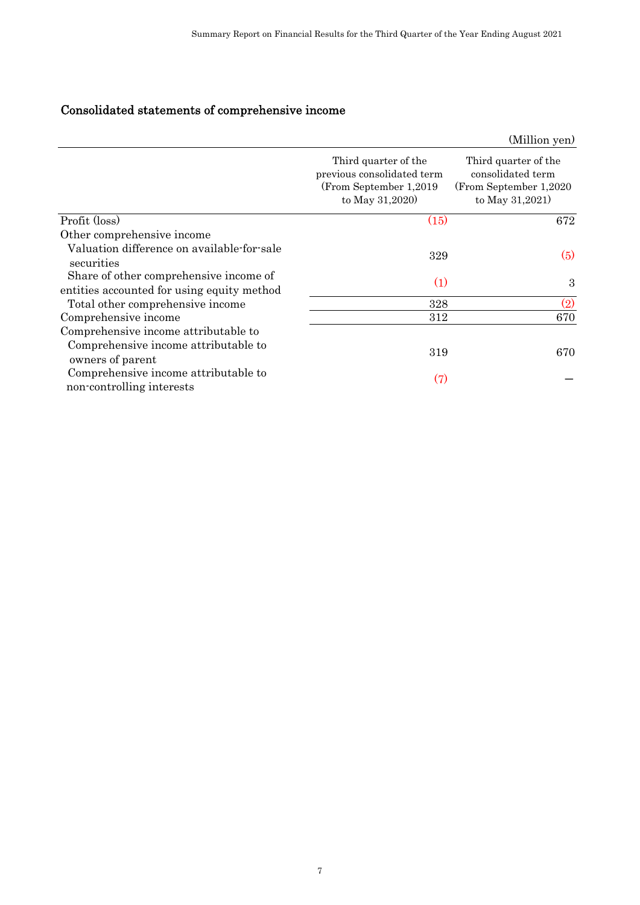# Consolidated statements of comprehensive income

| Consolidated statements of comprehensive income                                                  |                                                                                                 | (Million yen)                                                                          |
|--------------------------------------------------------------------------------------------------|-------------------------------------------------------------------------------------------------|----------------------------------------------------------------------------------------|
|                                                                                                  | Third quarter of the<br>previous consolidated term<br>(From September 1,2019<br>to May 31,2020) | Third quarter of the<br>consolidated term<br>(From September 1,2020<br>to May 31,2021) |
| Profit (loss)                                                                                    | (15)                                                                                            | 672                                                                                    |
| Other comprehensive income<br>Valuation difference on available-for-sale<br>securities           | 329                                                                                             | (5)                                                                                    |
| Share of other comprehensive income of                                                           | (1)                                                                                             | $\boldsymbol{3}$                                                                       |
| entities accounted for using equity method<br>Total other comprehensive income                   | 328                                                                                             | (2)                                                                                    |
| Comprehensive income                                                                             | 312                                                                                             | 670                                                                                    |
| Comprehensive income attributable to<br>Comprehensive income attributable to<br>owners of parent | 319                                                                                             | 670                                                                                    |
| Comprehensive income attributable to<br>non-controlling interests                                | (7)                                                                                             |                                                                                        |
|                                                                                                  |                                                                                                 |                                                                                        |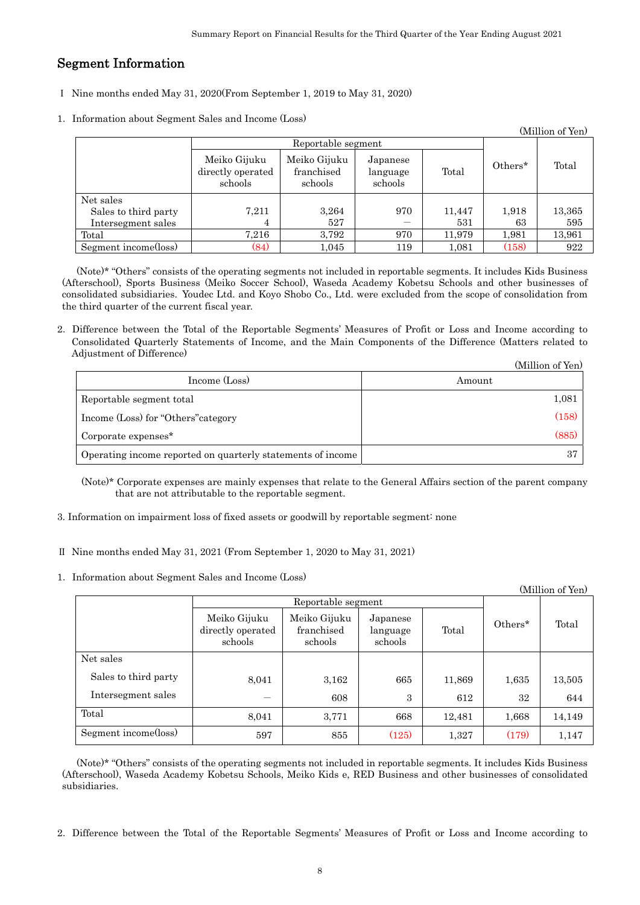## Segment Information

- Ⅰ Nine months ended May 31, 2020(From September 1, 2019 to May 31, 2020)
- 1. Information about Segment Sales and Income (Loss)

| (Million of Yen)     |                                              |                                       |                                 |        |         |        |
|----------------------|----------------------------------------------|---------------------------------------|---------------------------------|--------|---------|--------|
|                      | Reportable segment                           |                                       |                                 |        |         |        |
|                      | Meiko Gijuku<br>directly operated<br>schools | Meiko Gijuku<br>franchised<br>schools | Japanese<br>language<br>schools | Total  | Others* | Total  |
| Net sales            |                                              |                                       |                                 |        |         |        |
| Sales to third party | 7,211                                        | 3,264                                 | 970                             | 11,447 | 1,918   | 13,365 |
| Intersegment sales   | 4                                            | 527                                   |                                 | 531    | 63      | 595    |
| Total                | 7.216                                        | 3.792                                 | 970                             | 11.979 | 1,981   | 13,961 |
| Segment income(loss) | (84)                                         | 1,045                                 | 119                             | 1,081  | (158)   | 922    |

|                                                             | (Million of Yen) |
|-------------------------------------------------------------|------------------|
| Income (Loss)                                               | Amount           |
| Reportable segment total                                    | 1,081            |
| Income (Loss) for "Others" category                         | (158)            |
| Corporate expenses <sup>*</sup>                             | (885)            |
| Operating income reported on quarterly statements of income | -37              |

- 3. Information on impairment loss of fixed assets or goodwill by reportable segment: none
- Ⅱ Nine months ended May 31, 2021 (From September 1, 2020 to May 31, 2021)
- 1.Information about Segment Sales and Income (Loss)

|                                                                                                                                                                                                                                                                                                       | Nine months ended May 31, 2020(From September 1, 2019 to May 31, 2020) |                                                             |                                 |               |             |                  |
|-------------------------------------------------------------------------------------------------------------------------------------------------------------------------------------------------------------------------------------------------------------------------------------------------------|------------------------------------------------------------------------|-------------------------------------------------------------|---------------------------------|---------------|-------------|------------------|
| Information about Segment Sales and Income (Loss)                                                                                                                                                                                                                                                     |                                                                        |                                                             |                                 |               |             |                  |
|                                                                                                                                                                                                                                                                                                       |                                                                        | Reportable segment                                          |                                 |               |             | (Million of Yen) |
|                                                                                                                                                                                                                                                                                                       | Meiko Gijuku<br>directly operated<br>schools                           | Meiko Gijuku<br>franchised<br>schools                       | Japanese<br>language<br>schools | Total         | Others*     | Total            |
| Net sales<br>Sales to third party<br>Intersegment sales                                                                                                                                                                                                                                               | 7,211<br>4                                                             | 3,264<br>527                                                | 970                             | 11,447<br>531 | 1,918<br>63 | 13,365<br>595    |
| Total                                                                                                                                                                                                                                                                                                 | 7,216                                                                  | 3,792                                                       | 970                             | 11,979        | 1,981       | 13,961           |
| Segment income(loss)                                                                                                                                                                                                                                                                                  | (84)                                                                   | 1,045                                                       | 119                             | 1,081         | (158)       | 922              |
| e third quarter of the current fiscal year.<br>Difference between the Total of the Reportable Segments' Measures of Profit or Loss and Income according to<br>Consolidated Quarterly Statements of Income, and the Main Components of the Difference (Matters related to<br>Adjustment of Difference) |                                                                        |                                                             |                                 |               |             | (Million of Yen) |
|                                                                                                                                                                                                                                                                                                       | Income (Loss)                                                          |                                                             |                                 | Amount        |             |                  |
| Reportable segment total                                                                                                                                                                                                                                                                              |                                                                        |                                                             |                                 |               |             | 1,081            |
| Income (Loss) for "Others" category                                                                                                                                                                                                                                                                   |                                                                        |                                                             | (158)                           |               |             |                  |
| Corporate expenses*                                                                                                                                                                                                                                                                                   |                                                                        |                                                             | (885)                           |               |             |                  |
| Operating income reported on quarterly statements of income                                                                                                                                                                                                                                           |                                                                        |                                                             | 37                              |               |             |                  |
| (Note)* Corporate expenses are mainly expenses that relate to the General Affairs section of the parent company<br>Information on impairment loss of fixed assets or goodwill by reportable segment: none<br>Nine months ended May 31, 2021 (From September 1, 2020 to May 31, 2021)                  | that are not attributable to the reportable segment.                   |                                                             |                                 |               |             |                  |
| Information about Segment Sales and Income (Loss)                                                                                                                                                                                                                                                     |                                                                        |                                                             |                                 |               |             |                  |
|                                                                                                                                                                                                                                                                                                       |                                                                        |                                                             |                                 |               |             | (Million of Yen) |
|                                                                                                                                                                                                                                                                                                       | Meiko Gijuku<br>directly operated<br>schools                           | Reportable segment<br>Meiko Gijuku<br>franchised<br>schools | Japanese<br>language<br>schools | Total         | Others*     | Total            |
| Net sales                                                                                                                                                                                                                                                                                             |                                                                        |                                                             |                                 |               |             |                  |
| Sales to third party                                                                                                                                                                                                                                                                                  | 8,041                                                                  | 3,162                                                       | 665                             | 11,869        | 1,635       | 13,505           |
|                                                                                                                                                                                                                                                                                                       |                                                                        | 608                                                         | $\,3$                           | 612           | 32          | 644              |
| Intersegment sales                                                                                                                                                                                                                                                                                    | 8,041                                                                  | 3,771                                                       | 668                             | 12,481        | 1,668       | 14,149           |
| Total                                                                                                                                                                                                                                                                                                 |                                                                        |                                                             | (125)                           | 1,327         | (179)       | 1,147            |
| Segment income(loss)                                                                                                                                                                                                                                                                                  | 597                                                                    | 855                                                         |                                 |               |             |                  |